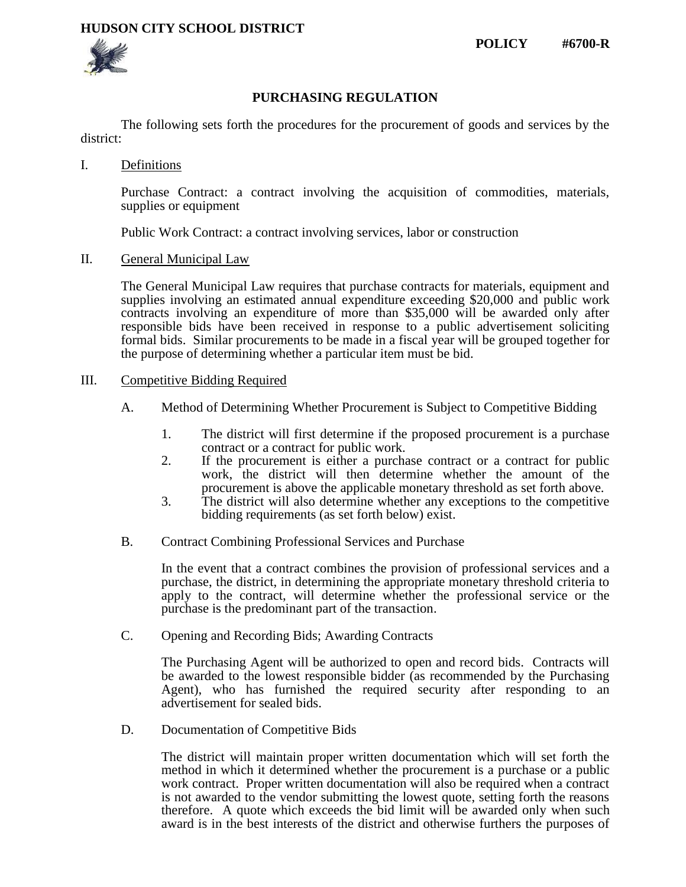## **HUDSON CITY SCHOOL DISTRICT**

**POLICY #6700-R**



## **PURCHASING REGULATION**

The following sets forth the procedures for the procurement of goods and services by the district:

I. Definitions

Purchase Contract: a contract involving the acquisition of commodities, materials, supplies or equipment

Public Work Contract: a contract involving services, labor or construction

II. General Municipal Law

The General Municipal Law requires that purchase contracts for materials, equipment and supplies involving an estimated annual expenditure exceeding \$20,000 and public work contracts involving an expenditure of more than \$35,000 will be awarded only after responsible bids have been received in response to a public advertisement soliciting formal bids. Similar procurements to be made in a fiscal year will be grouped together for the purpose of determining whether a particular item must be bid.

#### III. Competitive Bidding Required

- A. Method of Determining Whether Procurement is Subject to Competitive Bidding
	- 1. The district will first determine if the proposed procurement is a purchase contract or a contract for public work.
	- 2. If the procurement is either a purchase contract or a contract for public work, the district will then determine whether the amount of the procurement is above the applicable monetary threshold as set forth above.
	- 3. The district will also determine whether any exceptions to the competitive bidding requirements (as set forth below) exist.
- B. Contract Combining Professional Services and Purchase

In the event that a contract combines the provision of professional services and a purchase, the district, in determining the appropriate monetary threshold criteria to apply to the contract, will determine whether the professional service or the purchase is the predominant part of the transaction.

C. Opening and Recording Bids; Awarding Contracts

The Purchasing Agent will be authorized to open and record bids. Contracts will be awarded to the lowest responsible bidder (as recommended by the Purchasing Agent), who has furnished the required security after responding to an advertisement for sealed bids.

D. Documentation of Competitive Bids

The district will maintain proper written documentation which will set forth the method in which it determined whether the procurement is a purchase or a public work contract. Proper written documentation will also be required when a contract is not awarded to the vendor submitting the lowest quote, setting forth the reasons therefore. A quote which exceeds the bid limit will be awarded only when such award is in the best interests of the district and otherwise furthers the purposes of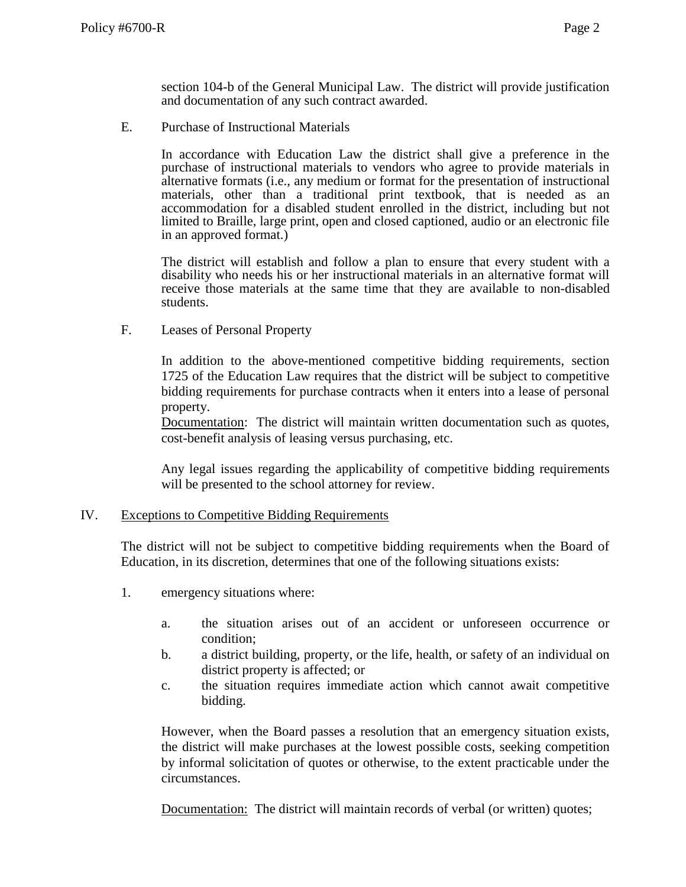section 104-b of the General Municipal Law. The district will provide justification and documentation of any such contract awarded.

E. Purchase of Instructional Materials

In accordance with Education Law the district shall give a preference in the purchase of instructional materials to vendors who agree to provide materials in alternative formats (i.e., any medium or format for the presentation of instructional materials, other than a traditional print textbook, that is needed as an accommodation for a disabled student enrolled in the district, including but not limited to Braille, large print, open and closed captioned, audio or an electronic file in an approved format.)

The district will establish and follow a plan to ensure that every student with a disability who needs his or her instructional materials in an alternative format will receive those materials at the same time that they are available to non-disabled students.

F. Leases of Personal Property

In addition to the above-mentioned competitive bidding requirements, section 1725 of the Education Law requires that the district will be subject to competitive bidding requirements for purchase contracts when it enters into a lease of personal property.

Documentation: The district will maintain written documentation such as quotes, cost-benefit analysis of leasing versus purchasing, etc.

Any legal issues regarding the applicability of competitive bidding requirements will be presented to the school attorney for review.

#### IV. Exceptions to Competitive Bidding Requirements

The district will not be subject to competitive bidding requirements when the Board of Education, in its discretion, determines that one of the following situations exists:

- 1. emergency situations where:
	- a. the situation arises out of an accident or unforeseen occurrence or condition;
	- b. a district building, property, or the life, health, or safety of an individual on district property is affected; or
	- c. the situation requires immediate action which cannot await competitive bidding.

However, when the Board passes a resolution that an emergency situation exists, the district will make purchases at the lowest possible costs, seeking competition by informal solicitation of quotes or otherwise, to the extent practicable under the circumstances.

Documentation: The district will maintain records of verbal (or written) quotes;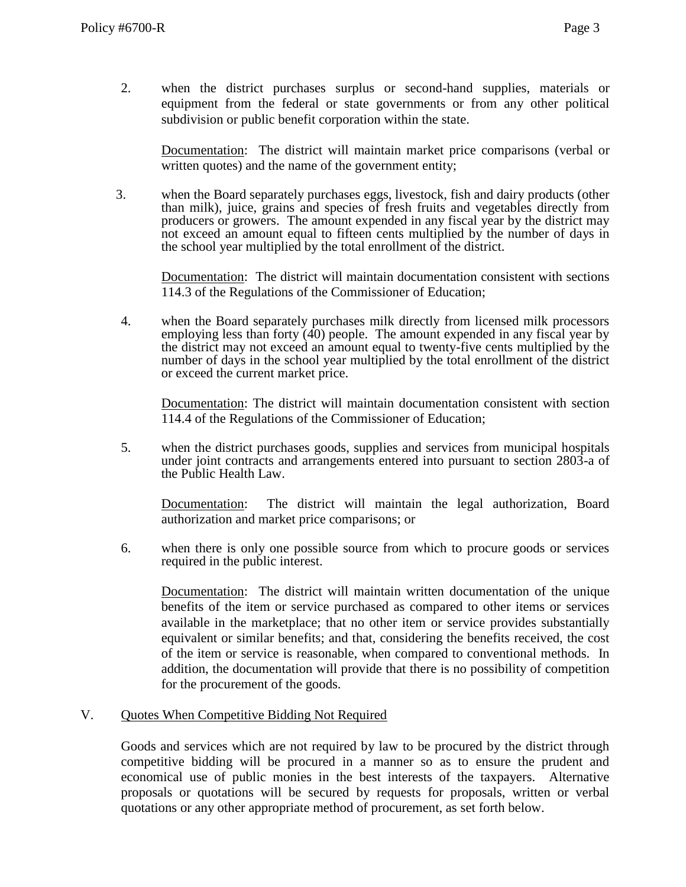2. when the district purchases surplus or second-hand supplies, materials or equipment from the federal or state governments or from any other political subdivision or public benefit corporation within the state.

Documentation: The district will maintain market price comparisons (verbal or written quotes) and the name of the government entity;

3. when the Board separately purchases eggs, livestock, fish and dairy products (other than milk), juice, grains and species of fresh fruits and vegetables directly from producers or growers. The amount expended in any fiscal year by the district may not exceed an amount equal to fifteen cents multiplied by the number of days in the school year multiplied by the total enrollment of the district.

Documentation: The district will maintain documentation consistent with sections 114.3 of the Regulations of the Commissioner of Education;

4. when the Board separately purchases milk directly from licensed milk processors employing less than forty  $(40)$  people. The amount expended in any fiscal year by the district may not exceed an amount equal to twenty-five cents multiplied by the number of days in the school year multiplied by the total enrollment of the district or exceed the current market price.

Documentation: The district will maintain documentation consistent with section 114.4 of the Regulations of the Commissioner of Education;

5. when the district purchases goods, supplies and services from municipal hospitals under joint contracts and arrangements entered into pursuant to section 2803-a of the Public Health Law.

Documentation: The district will maintain the legal authorization, Board authorization and market price comparisons; or

6. when there is only one possible source from which to procure goods or services required in the public interest.

Documentation: The district will maintain written documentation of the unique benefits of the item or service purchased as compared to other items or services available in the marketplace; that no other item or service provides substantially equivalent or similar benefits; and that, considering the benefits received, the cost of the item or service is reasonable, when compared to conventional methods. In addition, the documentation will provide that there is no possibility of competition for the procurement of the goods.

## V. Quotes When Competitive Bidding Not Required

Goods and services which are not required by law to be procured by the district through competitive bidding will be procured in a manner so as to ensure the prudent and economical use of public monies in the best interests of the taxpayers. Alternative proposals or quotations will be secured by requests for proposals, written or verbal quotations or any other appropriate method of procurement, as set forth below.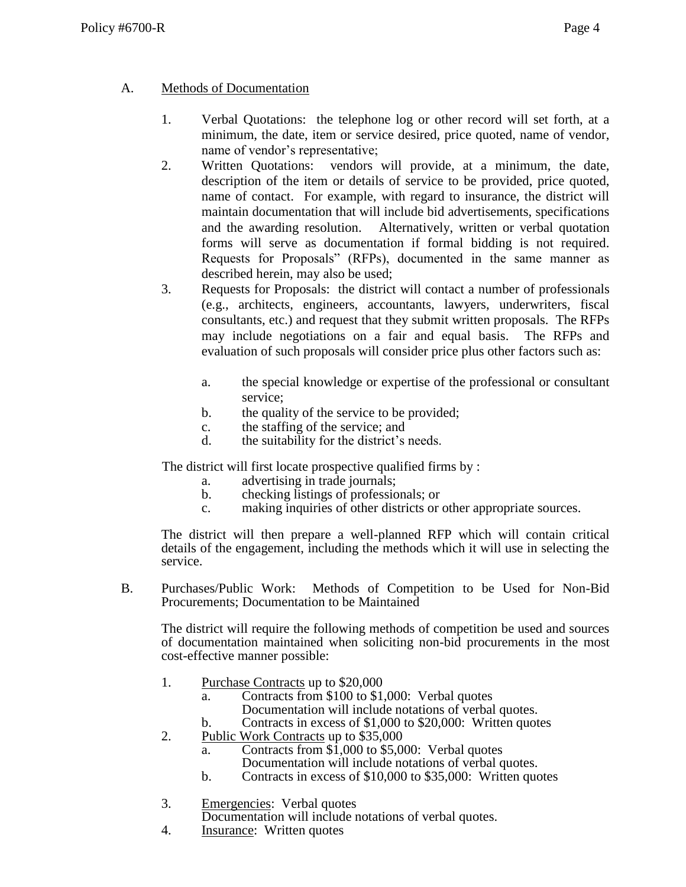## A. Methods of Documentation

- 1. Verbal Quotations: the telephone log or other record will set forth, at a minimum, the date, item or service desired, price quoted, name of vendor, name of vendor's representative;
- 2. Written Quotations: vendors will provide, at a minimum, the date, description of the item or details of service to be provided, price quoted, name of contact. For example, with regard to insurance, the district will maintain documentation that will include bid advertisements, specifications and the awarding resolution. Alternatively, written or verbal quotation forms will serve as documentation if formal bidding is not required. Requests for Proposals" (RFPs), documented in the same manner as described herein, may also be used;
- 3. Requests for Proposals: the district will contact a number of professionals (e.g., architects, engineers, accountants, lawyers, underwriters, fiscal consultants, etc.) and request that they submit written proposals. The RFPs may include negotiations on a fair and equal basis. The RFPs and evaluation of such proposals will consider price plus other factors such as:
	- a. the special knowledge or expertise of the professional or consultant service;
	- b. the quality of the service to be provided;
	- c. the staffing of the service; and
	- d. the suitability for the district's needs.

The district will first locate prospective qualified firms by :

- a. advertising in trade journals;
- b. checking listings of professionals; or
- c. making inquiries of other districts or other appropriate sources.

The district will then prepare a well-planned RFP which will contain critical details of the engagement, including the methods which it will use in selecting the service.

B. Purchases/Public Work: Methods of Competition to be Used for Non-Bid Procurements; Documentation to be Maintained

The district will require the following methods of competition be used and sources of documentation maintained when soliciting non-bid procurements in the most cost-effective manner possible:

- 1. Purchase Contracts up to \$20,000
	- a. Contracts from \$100 to \$1,000: Verbal quotes Documentation will include notations of verbal quotes.
	- b. Contracts in excess of \$1,000 to \$20,000: Written quotes
- 2. Public Work Contracts up to \$35,000
	- a. Contracts from \$1,000 to \$5,000: Verbal quotes Documentation will include notations of verbal quotes.
	- b. Contracts in excess of \$10,000 to \$35,000: Written quotes
- 3. Emergencies: Verbal quotes

Documentation will include notations of verbal quotes.

4. Insurance: Written quotes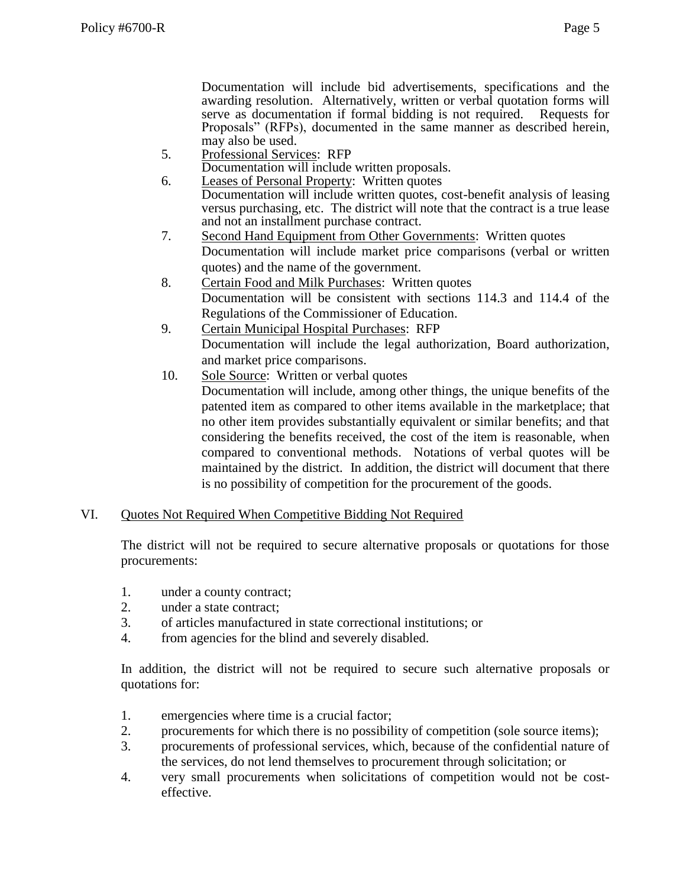Documentation will include bid advertisements, specifications and the awarding resolution. Alternatively, written or verbal quotation forms will serve as documentation if formal bidding is not required. Requests for Proposals" (RFPs), documented in the same manner as described herein, may also be used.

5. Professional Services: RFP

Documentation will include written proposals.

- 6. Leases of Personal Property: Written quotes Documentation will include written quotes, cost-benefit analysis of leasing versus purchasing, etc. The district will note that the contract is a true lease and not an installment purchase contract.
- 7. Second Hand Equipment from Other Governments: Written quotes Documentation will include market price comparisons (verbal or written quotes) and the name of the government.
- 8. Certain Food and Milk Purchases: Written quotes Documentation will be consistent with sections 114.3 and 114.4 of the Regulations of the Commissioner of Education.
- 9. Certain Municipal Hospital Purchases: RFP Documentation will include the legal authorization, Board authorization, and market price comparisons.
- 10. Sole Source: Written or verbal quotes Documentation will include, among other things, the unique benefits of the patented item as compared to other items available in the marketplace; that no other item provides substantially equivalent or similar benefits; and that considering the benefits received, the cost of the item is reasonable, when compared to conventional methods. Notations of verbal quotes will be maintained by the district. In addition, the district will document that there is no possibility of competition for the procurement of the goods.

# VI. Quotes Not Required When Competitive Bidding Not Required

The district will not be required to secure alternative proposals or quotations for those procurements:

- 1. under a county contract;
- 2. under a state contract;
- 3. of articles manufactured in state correctional institutions; or
- 4. from agencies for the blind and severely disabled.

In addition, the district will not be required to secure such alternative proposals or quotations for:

- 1. emergencies where time is a crucial factor;
- 2. procurements for which there is no possibility of competition (sole source items);
- 3. procurements of professional services, which, because of the confidential nature of the services, do not lend themselves to procurement through solicitation; or
- 4. very small procurements when solicitations of competition would not be costeffective.